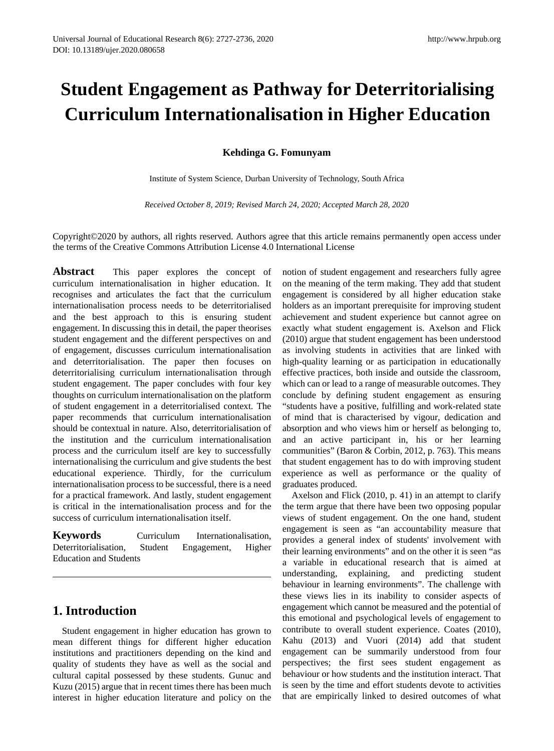# **Student Engagement as Pathway for Deterritorialising Curriculum Internationalisation in Higher Education**

**Kehdinga G. Fomunyam**

Institute of System Science, Durban University of Technology, South Africa

*Received October 8, 2019; Revised March 24, 2020; Accepted March 28, 2020*

Copyright©2020 by authors, all rights reserved. Authors agree that this article remains permanently open access under the terms of the Creative Commons Attribution License 4.0 International License

**Abstract** This paper explores the concept of curriculum internationalisation in higher education. It recognises and articulates the fact that the curriculum internationalisation process needs to be deterritorialised and the best approach to this is ensuring student engagement. In discussing this in detail, the paper theorises student engagement and the different perspectives on and of engagement, discusses curriculum internationalisation and deterritorialisation. The paper then focuses on deterritorialising curriculum internationalisation through student engagement. The paper concludes with four key thoughts on curriculum internationalisation on the platform of student engagement in a deterritorialised context. The paper recommends that curriculum internationalisation should be contextual in nature. Also, deterritorialisation of the institution and the curriculum internationalisation process and the curriculum itself are key to successfully internationalising the curriculum and give students the best educational experience. Thirdly, for the curriculum internationalisation process to be successful, there is a need for a practical framework. And lastly, student engagement is critical in the internationalisation process and for the success of curriculum internationalisation itself.

**Keywords Curriculum** Internationalisation, Deterritorialisation, Student Engagement, Higher Education and Students

### **1. Introduction**

Student engagement in higher education has grown to mean different things for different higher education institutions and practitioners depending on the kind and quality of students they have as well as the social and cultural capital possessed by these students. Gunuc and Kuzu (2015) argue that in recent times there has been much interest in higher education literature and policy on the

notion of student engagement and researchers fully agree on the meaning of the term making. They add that student engagement is considered by all higher education stake holders as an important prerequisite for improving student achievement and student experience but cannot agree on exactly what student engagement is. Axelson and Flick (2010) argue that student engagement has been understood as involving students in activities that are linked with high-quality learning or as participation in educationally effective practices, both inside and outside the classroom, which can or lead to a range of measurable outcomes. They conclude by defining student engagement as ensuring "students have a positive, fulfilling and work-related state of mind that is characterised by vigour, dedication and absorption and who views him or herself as belonging to, and an active participant in, his or her learning communities" (Baron & Corbin, 2012, p. 763). This means that student engagement has to do with improving student experience as well as performance or the quality of graduates produced.

Axelson and Flick (2010, p. 41) in an attempt to clarify the term argue that there have been two opposing popular views of student engagement. On the one hand, student engagement is seen as "an accountability measure that provides a general index of students' involvement with their learning environments" and on the other it is seen "as a variable in educational research that is aimed at understanding, explaining, and predicting student behaviour in learning environments". The challenge with these views lies in its inability to consider aspects of engagement which cannot be measured and the potential of this emotional and psychological levels of engagement to contribute to overall student experience. Coates (2010), Kahu (2013) and Vuori (2014) add that student engagement can be summarily understood from four perspectives; the first sees student engagement as behaviour or how students and the institution interact. That is seen by the time and effort students devote to activities that are empirically linked to desired outcomes of what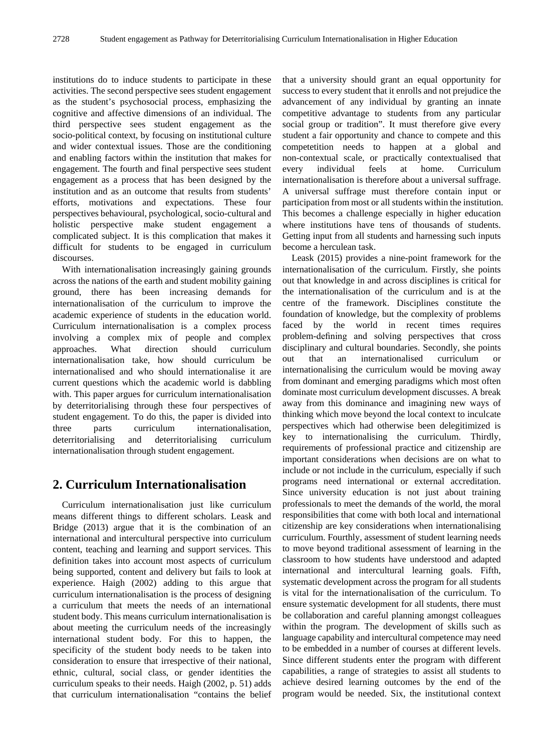institutions do to induce students to participate in these activities. The second perspective sees student engagement as the student's psychosocial process, emphasizing the cognitive and affective dimensions of an individual. The third perspective sees student engagement as the socio-political context, by focusing on institutional culture and wider contextual issues. Those are the conditioning and enabling factors within the institution that makes for engagement. The fourth and final perspective sees student engagement as a process that has been designed by the institution and as an outcome that results from students' efforts, motivations and expectations. These four perspectives behavioural, psychological, socio-cultural and holistic perspective make student engagement a complicated subject. It is this complication that makes it difficult for students to be engaged in curriculum discourses.

With internationalisation increasingly gaining grounds across the nations of the earth and student mobility gaining ground, there has been increasing demands for internationalisation of the curriculum to improve the academic experience of students in the education world. Curriculum internationalisation is a complex process involving a complex mix of people and complex approaches. What direction should curriculum internationalisation take, how should curriculum be internationalised and who should internationalise it are current questions which the academic world is dabbling with. This paper argues for curriculum internationalisation by deterritorialising through these four perspectives of student engagement. To do this, the paper is divided into three parts curriculum internationalisation, deterritorialising and deterritorialising curriculum internationalisation through student engagement.

### **2. Curriculum Internationalisation**

Curriculum internationalisation just like curriculum means different things to different scholars. Leask and Bridge (2013) argue that it is the combination of an international and intercultural perspective into curriculum content, teaching and learning and support services. This definition takes into account most aspects of curriculum being supported, content and delivery but fails to look at experience. Haigh (2002) adding to this argue that curriculum internationalisation is the process of designing a curriculum that meets the needs of an international student body. This means curriculum internationalisation is about meeting the curriculum needs of the increasingly international student body. For this to happen, the specificity of the student body needs to be taken into consideration to ensure that irrespective of their national, ethnic, cultural, social class, or gender identities the curriculum speaks to their needs. Haigh (2002, p. 51) adds that curriculum internationalisation "contains the belief that a university should grant an equal opportunity for success to every student that it enrolls and not prejudice the advancement of any individual by granting an innate competitive advantage to students from any particular social group or tradition". It must therefore give every student a fair opportunity and chance to compete and this competetition needs to happen at a global and non-contextual scale, or practically contextualised that every individual feels at home. Curriculum internationalisation is therefore about a universal suffrage. A universal suffrage must therefore contain input or participation from most or all students within the institution. This becomes a challenge especially in higher education where institutions have tens of thousands of students. Getting input from all students and harnessing such inputs become a herculean task.

Leask (2015) provides a nine-point framework for the internationalisation of the curriculum. Firstly, she points out that knowledge in and across disciplines is critical for the internationalisation of the curriculum and is at the centre of the framework. Disciplines constitute the foundation of knowledge, but the complexity of problems faced by the world in recent times requires problem-defining and solving perspectives that cross disciplinary and cultural boundaries. Secondly, she points out that an internationalised curriculum or internationalising the curriculum would be moving away from dominant and emerging paradigms which most often dominate most curriculum development discusses. A break away from this dominance and imagining new ways of thinking which move beyond the local context to inculcate perspectives which had otherwise been delegitimized is key to internationalising the curriculum. Thirdly, requirements of professional practice and citizenship are important considerations when decisions are on what to include or not include in the curriculum, especially if such programs need international or external accreditation. Since university education is not just about training professionals to meet the demands of the world, the moral responsibilities that come with both local and international citizenship are key considerations when internationalising curriculum. Fourthly, assessment of student learning needs to move beyond traditional assessment of learning in the classroom to how students have understood and adapted international and intercultural learning goals. Fifth, systematic development across the program for all students is vital for the internationalisation of the curriculum. To ensure systematic development for all students, there must be collaboration and careful planning amongst colleagues within the program. The development of skills such as language capability and intercultural competence may need to be embedded in a number of courses at different levels. Since different students enter the program with different capabilities, a range of strategies to assist all students to achieve desired learning outcomes by the end of the program would be needed. Six, the institutional context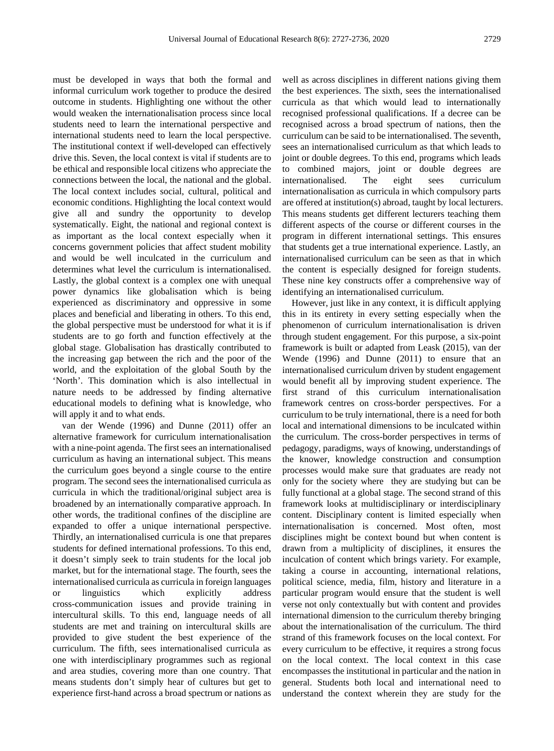must be developed in ways that both the formal and informal curriculum work together to produce the desired outcome in students. Highlighting one without the other would weaken the internationalisation process since local students need to learn the international perspective and international students need to learn the local perspective. The institutional context if well-developed can effectively drive this. Seven, the local context is vital if students are to be ethical and responsible local citizens who appreciate the connections between the local, the national and the global. The local context includes social, cultural, political and economic conditions. Highlighting the local context would give all and sundry the opportunity to develop systematically. Eight, the national and regional context is as important as the local context especially when it concerns government policies that affect student mobility and would be well inculcated in the curriculum and determines what level the curriculum is internationalised. Lastly, the global context is a complex one with unequal power dynamics like globalisation which is being experienced as discriminatory and oppressive in some places and beneficial and liberating in others. To this end, the global perspective must be understood for what it is if students are to go forth and function effectively at the global stage. Globalisation has drastically contributed to the increasing gap between the rich and the poor of the world, and the exploitation of the global South by the 'North'. This domination which is also intellectual in nature needs to be addressed by finding alternative educational models to defining what is knowledge, who will apply it and to what ends.

van der Wende (1996) and Dunne (2011) offer an alternative framework for curriculum internationalisation with a nine-point agenda. The first sees an internationalised curriculum as having an international subject. This means the curriculum goes beyond a single course to the entire program. The second sees the internationalised curricula as curricula in which the traditional/original subject area is broadened by an internationally comparative approach. In other words, the traditional confines of the discipline are expanded to offer a unique international perspective. Thirdly, an internationalised curricula is one that prepares students for defined international professions. To this end, it doesn't simply seek to train students for the local job market, but for the international stage. The fourth, sees the internationalised curricula as curricula in foreign languages or linguistics which explicitly address cross-communication issues and provide training in intercultural skills. To this end, language needs of all students are met and training on intercultural skills are provided to give student the best experience of the curriculum. The fifth, sees internationalised curricula as one with interdisciplinary programmes such as regional and area studies, covering more than one country. That means students don't simply hear of cultures but get to experience first-hand across a broad spectrum or nations as

well as across disciplines in different nations giving them the best experiences. The sixth, sees the internationalised curricula as that which would lead to internationally recognised professional qualifications. If a decree can be recognised across a broad spectrum of nations, then the curriculum can be said to be internationalised. The seventh, sees an internationalised curriculum as that which leads to joint or double degrees. To this end, programs which leads to combined majors, joint or double degrees are internationalised. The eight sees curriculum internationalisation as curricula in which compulsory parts are offered at institution(s) abroad, taught by local lecturers. This means students get different lecturers teaching them different aspects of the course or different courses in the program in different international settings. This ensures that students get a true international experience. Lastly, an internationalised curriculum can be seen as that in which the content is especially designed for foreign students. These nine key constructs offer a comprehensive way of identifying an internationalised curriculum.

However, just like in any context, it is difficult applying this in its entirety in every setting especially when the phenomenon of curriculum internationalisation is driven through student engagement. For this purpose, a six-point framework is built or adapted from Leask (2015), van der Wende (1996) and Dunne (2011) to ensure that an internationalised curriculum driven by student engagement would benefit all by improving student experience. The first strand of this curriculum internationalisation framework centres on cross-border perspectives. For a curriculum to be truly international, there is a need for both local and international dimensions to be inculcated within the curriculum. The cross-border perspectives in terms of pedagogy, paradigms, ways of knowing, understandings of the knower, knowledge construction and consumption processes would make sure that graduates are ready not only for the society where they are studying but can be fully functional at a global stage. The second strand of this framework looks at multidisciplinary or interdisciplinary content. Disciplinary content is limited especially when internationalisation is concerned. Most often, most disciplines might be context bound but when content is drawn from a multiplicity of disciplines, it ensures the inculcation of content which brings variety. For example, taking a course in accounting, international relations, political science, media, film, history and literature in a particular program would ensure that the student is well verse not only contextually but with content and provides international dimension to the curriculum thereby bringing about the internationalisation of the curriculum. The third strand of this framework focuses on the local context. For every curriculum to be effective, it requires a strong focus on the local context. The local context in this case encompasses the institutional in particular and the nation in general. Students both local and international need to understand the context wherein they are study for the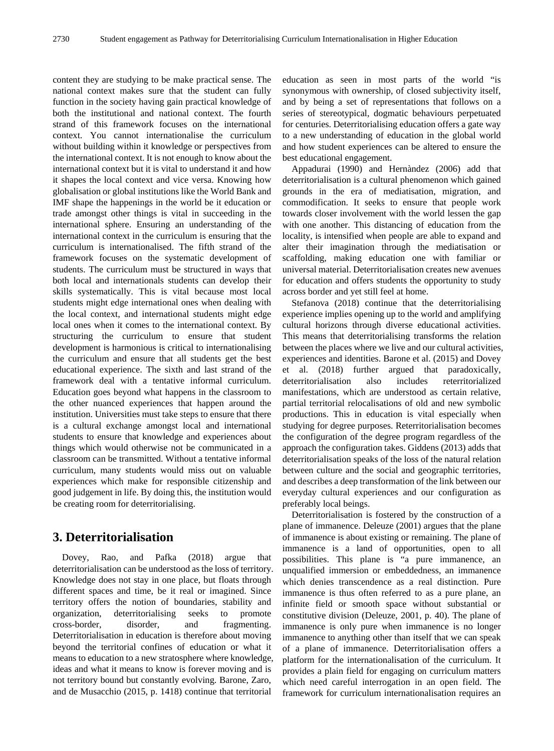content they are studying to be make practical sense. The national context makes sure that the student can fully function in the society having gain practical knowledge of both the institutional and national context. The fourth strand of this framework focuses on the international context. You cannot internationalise the curriculum without building within it knowledge or perspectives from the international context. It is not enough to know about the international context but it is vital to understand it and how it shapes the local context and vice versa. Knowing how globalisation or global institutions like the World Bank and IMF shape the happenings in the world be it education or trade amongst other things is vital in succeeding in the international sphere. Ensuring an understanding of the international context in the curriculum is ensuring that the curriculum is internationalised. The fifth strand of the framework focuses on the systematic development of students. The curriculum must be structured in ways that both local and internationals students can develop their skills systematically. This is vital because most local students might edge international ones when dealing with the local context, and international students might edge local ones when it comes to the international context. By structuring the curriculum to ensure that student development is harmonious is critical to internationalising the curriculum and ensure that all students get the best educational experience. The sixth and last strand of the framework deal with a tentative informal curriculum. Education goes beyond what happens in the classroom to the other nuanced experiences that happen around the institution. Universities must take steps to ensure that there is a cultural exchange amongst local and international students to ensure that knowledge and experiences about things which would otherwise not be communicated in a classroom can be transmitted. Without a tentative informal curriculum, many students would miss out on valuable experiences which make for responsible citizenship and good judgement in life. By doing this, the institution would be creating room for deterritorialising.

## **3. Deterritorialisation**

Dovey, Rao, and Pafka (2018) argue that deterritorialisation can be understood as the loss of territory. Knowledge does not stay in one place, but floats through different spaces and time, be it real or imagined. Since territory offers the notion of boundaries, stability and organization, deterritorialising seeks to promote cross-border, disorder, and fragmenting. Deterritorialisation in education is therefore about moving beyond the territorial confines of education or what it means to education to a new stratosphere where knowledge, ideas and what it means to know is forever moving and is not territory bound but constantly evolving. Barone, Zaro, and de Musacchio (2015, p. 1418) continue that territorial

education as seen in most parts of the world "is synonymous with ownership, of closed subjectivity itself, and by being a set of representations that follows on a series of stereotypical, dogmatic behaviours perpetuated for centuries. Deterritorialising education offers a gate way to a new understanding of education in the global world and how student experiences can be altered to ensure the best educational engagement.

Appadurai (1990) and Hernàndez (2006) add that deterritorialisation is a cultural phenomenon which gained grounds in the era of mediatisation, migration, and commodification. It seeks to ensure that people work towards closer involvement with the world lessen the gap with one another. This distancing of education from the locality, is intensified when people are able to expand and alter their imagination through the mediatisation or scaffolding, making education one with familiar or universal material. Deterritorialisation creates new avenues for education and offers students the opportunity to study across border and yet still feel at home.

Stefanova (2018) continue that the deterritorialising experience implies opening up to the world and amplifying cultural horizons through diverse educational activities. This means that deterritorialising transforms the relation between the places where we live and our cultural activities, experiences and identities. Barone et al. (2015) and Dovey et al. (2018) further argued that paradoxically, deterritorialisation also includes reterritorialized manifestations, which are understood as certain relative, partial territorial relocalisations of old and new symbolic productions. This in education is vital especially when studying for degree purposes. Reterritorialisation becomes the configuration of the degree program regardless of the approach the configuration takes. Giddens (2013) adds that deterritorialisation speaks of the loss of the natural relation between culture and the social and geographic territories, and describes a deep transformation of the link between our everyday cultural experiences and our configuration as preferably local beings.

Deterritorialisation is fostered by the construction of a plane of immanence. Deleuze (2001) argues that the plane of immanence is about existing or remaining. The plane of immanence is a land of opportunities, open to all possibilities. This plane is "a pure immanence, an unqualified immersion or embeddedness, an immanence which denies transcendence as a real distinction. Pure immanence is thus often referred to as a pure plane, an infinite field or smooth space without substantial or constitutive division (Deleuze, 2001, p. 40). The plane of immanence is only pure when immanence is no longer immanence to anything other than itself that we can speak of a plane of immanence. Deterritorialisation offers a platform for the internationalisation of the curriculum. It provides a plain field for engaging on curriculum matters which need careful interrogation in an open field. The framework for curriculum internationalisation requires an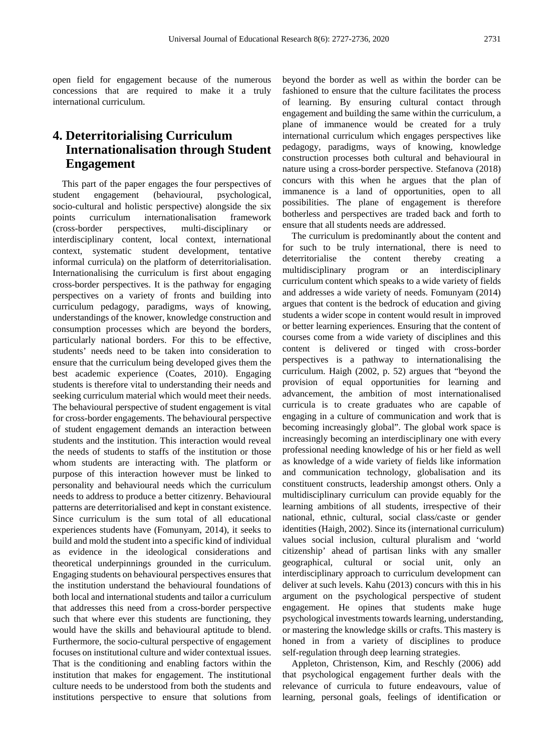open field for engagement because of the numerous concessions that are required to make it a truly international curriculum.

# **4. Deterritorialising Curriculum Internationalisation through Student Engagement**

This part of the paper engages the four perspectives of student engagement (behavioural, psychological, socio-cultural and holistic perspective) alongside the six points curriculum internationalisation framework (cross-border perspectives, multi-disciplinary or interdisciplinary content, local context, international context, systematic student development, tentative informal curricula) on the platform of deterritorialisation. Internationalising the curriculum is first about engaging cross-border perspectives. It is the pathway for engaging perspectives on a variety of fronts and building into curriculum pedagogy, paradigms, ways of knowing, understandings of the knower, knowledge construction and consumption processes which are beyond the borders, particularly national borders. For this to be effective, students' needs need to be taken into consideration to ensure that the curriculum being developed gives them the best academic experience (Coates, 2010). Engaging students is therefore vital to understanding their needs and seeking curriculum material which would meet their needs. The behavioural perspective of student engagement is vital for cross-border engagements. The behavioural perspective of student engagement demands an interaction between students and the institution. This interaction would reveal the needs of students to staffs of the institution or those whom students are interacting with. The platform or purpose of this interaction however must be linked to personality and behavioural needs which the curriculum needs to address to produce a better citizenry. Behavioural patterns are deterritorialised and kept in constant existence. Since curriculum is the sum total of all educational experiences students have (Fomunyam, 2014), it seeks to build and mold the student into a specific kind of individual as evidence in the ideological considerations and theoretical underpinnings grounded in the curriculum. Engaging students on behavioural perspectives ensures that the institution understand the behavioural foundations of both local and international students and tailor a curriculum that addresses this need from a cross-border perspective such that where ever this students are functioning, they would have the skills and behavioural aptitude to blend. Furthermore, the socio-cultural perspective of engagement focuses on institutional culture and wider contextual issues. That is the conditioning and enabling factors within the institution that makes for engagement. The institutional culture needs to be understood from both the students and institutions perspective to ensure that solutions from beyond the border as well as within the border can be fashioned to ensure that the culture facilitates the process of learning. By ensuring cultural contact through engagement and building the same within the curriculum, a plane of immanence would be created for a truly international curriculum which engages perspectives like pedagogy, paradigms, ways of knowing, knowledge construction processes both cultural and behavioural in nature using a cross-border perspective. Stefanova (2018) concurs with this when he argues that the plan of immanence is a land of opportunities, open to all possibilities. The plane of engagement is therefore botherless and perspectives are traded back and forth to ensure that all students needs are addressed.

The curriculum is predominantly about the content and for such to be truly international, there is need to deterritorialise the content thereby creating a multidisciplinary program or an interdisciplinary curriculum content which speaks to a wide variety of fields and addresses a wide variety of needs. Fomunyam (2014) argues that content is the bedrock of education and giving students a wider scope in content would result in improved or better learning experiences. Ensuring that the content of courses come from a wide variety of disciplines and this content is delivered or tinged with cross-border perspectives is a pathway to internationalising the curriculum. Haigh (2002, p. 52) argues that "beyond the provision of equal opportunities for learning and advancement, the ambition of most internationalised curricula is to create graduates who are capable of engaging in a culture of communication and work that is becoming increasingly global". The global work space is increasingly becoming an interdisciplinary one with every professional needing knowledge of his or her field as well as knowledge of a wide variety of fields like information and communication technology, globalisation and its constituent constructs, leadership amongst others. Only a multidisciplinary curriculum can provide equably for the learning ambitions of all students, irrespective of their national, ethnic, cultural, social class/caste or gender identities (Haigh, 2002). Since its (international curriculum) values social inclusion, cultural pluralism and 'world citizenship' ahead of partisan links with any smaller geographical, cultural or social unit, only an interdisciplinary approach to curriculum development can deliver at such levels. Kahu (2013) concurs with this in his argument on the psychological perspective of student engagement. He opines that students make huge psychological investments towards learning, understanding, or mastering the knowledge skills or crafts. This mastery is honed in from a variety of disciplines to produce self-regulation through deep learning strategies.

Appleton, Christenson, Kim, and Reschly (2006) add that psychological engagement further deals with the relevance of curricula to future endeavours, value of learning, personal goals, feelings of identification or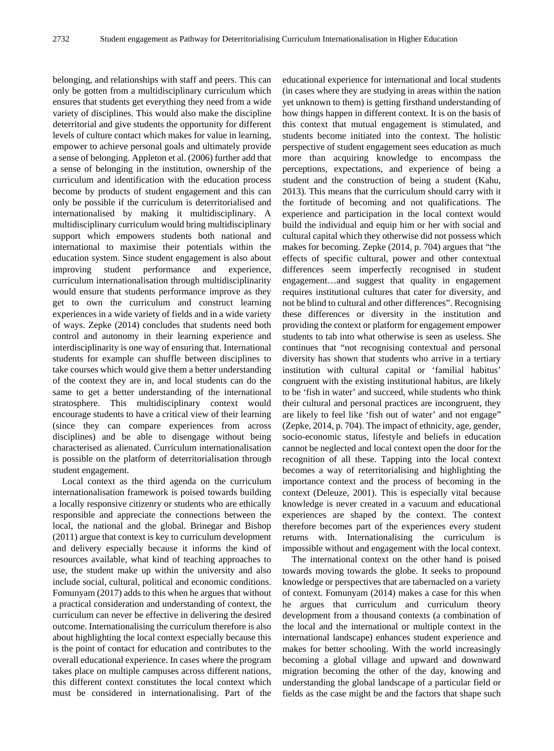belonging, and relationships with staff and peers. This can only be gotten from a multidisciplinary curriculum which ensures that students get everything they need from a wide variety of disciplines. This would also make the discipline deterritorial and give students the opportunity for different levels of culture contact which makes for value in learning, empower to achieve personal goals and ultimately provide a sense of belonging. Appleton et al. (2006) further add that a sense of belonging in the institution, ownership of the curriculum and identification with the education process become by products of student engagement and this can only be possible if the curriculum is deterritorialised and internationalised by making it multidisciplinary. A multidisciplinary curriculum would bring multidisciplinary support which empowers students both national and international to maximise their potentials within the education system. Since student engagement is also about improving student performance and experience, curriculum internationalisation through multidisciplinarity would ensure that students performance improve as they get to own the curriculum and construct learning experiences in a wide variety of fields and in a wide variety of ways. Zepke (2014) concludes that students need both control and autonomy in their learning experience and interdisciplinarity is one way of ensuring that. International students for example can shuffle between disciplines to take courses which would give them a better understanding of the context they are in, and local students can do the same to get a better understanding of the international stratosphere. This multidisciplinary context would encourage students to have a critical view of their learning (since they can compare experiences from across disciplines) and be able to disengage without being characterised as alienated. Curriculum internationalisation is possible on the platform of deterritorialisation through student engagement.

Local context as the third agenda on the curriculum internationalisation framework is poised towards building a locally responsive citizenry or students who are ethically responsible and appreciate the connections between the local, the national and the global. Brinegar and Bishop (2011) argue that context is key to curriculum development and delivery especially because it informs the kind of resources available, what kind of teaching approaches to use, the student make up within the university and also include social, cultural, political and economic conditions. Fomunyam (2017) adds to this when he argues that without a practical consideration and understanding of context, the curriculum can never be effective in delivering the desired outcome. Internationalising the curriculum therefore is also about highlighting the local context especially because this is the point of contact for education and contributes to the overall educational experience. In cases where the program takes place on multiple campuses across different nations, this different context constitutes the local context which must be considered in internationalising. Part of the

educational experience for international and local students (in cases where they are studying in areas within the nation yet unknown to them) is getting firsthand understanding of how things happen in different context. It is on the basis of this context that mutual engagement is stimulated, and students become initiated into the context. The holistic perspective of student engagement sees education as much more than acquiring knowledge to encompass the perceptions, expectations, and experience of being a student and the construction of being a student (Kahu, 2013). This means that the curriculum should carry with it the fortitude of becoming and not qualifications. The experience and participation in the local context would build the individual and equip him or her with social and cultural capital which they otherwise did not possess which makes for becoming. Zepke (2014, p. 704) argues that "the effects of specific cultural, power and other contextual differences seem imperfectly recognised in student engagement…and suggest that quality in engagement requires institutional cultures that cater for diversity, and not be blind to cultural and other differences". Recognising these differences or diversity in the institution and providing the context or platform for engagement empower students to tab into what otherwise is seen as useless. She continues that "not recognising contextual and personal diversity has shown that students who arrive in a tertiary institution with cultural capital or 'familial habitus' congruent with the existing institutional habitus, are likely to be 'fish in water' and succeed, while students who think their cultural and personal practices are incongruent, they are likely to feel like 'fish out of water' and not engage" (Zepke, 2014, p. 704). The impact of ethnicity, age, gender, socio-economic status, lifestyle and beliefs in education cannot be neglected and local context open the door for the recognition of all these. Tapping into the local context becomes a way of reterritorialising and highlighting the importance context and the process of becoming in the context (Deleuze, 2001). This is especially vital because knowledge is never created in a vacuum and educational experiences are shaped by the context. The context therefore becomes part of the experiences every student returns with. Internationalising the curriculum is impossible without and engagement with the local context.

The international context on the other hand is poised towards moving towards the globe. It seeks to propound knowledge or perspectives that are tabernacled on a variety of context. Fomunyam (2014) makes a case for this when he argues that curriculum and curriculum theory development from a thousand contexts (a combination of the local and the international or multiple context in the international landscape) enhances student experience and makes for better schooling. With the world increasingly becoming a global village and upward and downward migration becoming the other of the day, knowing and understanding the global landscape of a particular field or fields as the case might be and the factors that shape such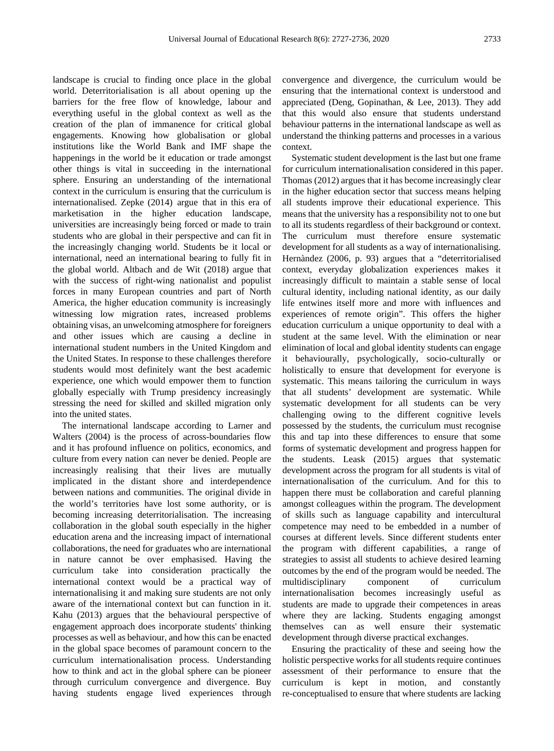landscape is crucial to finding once place in the global world. Deterritorialisation is all about opening up the barriers for the free flow of knowledge, labour and everything useful in the global context as well as the creation of the plan of immanence for critical global engagements. Knowing how globalisation or global institutions like the World Bank and IMF shape the happenings in the world be it education or trade amongst other things is vital in succeeding in the international sphere. Ensuring an understanding of the international context in the curriculum is ensuring that the curriculum is internationalised. Zepke (2014) argue that in this era of marketisation in the higher education landscape, universities are increasingly being forced or made to train students who are global in their perspective and can fit in the increasingly changing world. Students be it local or international, need an international bearing to fully fit in the global world. Altbach and de Wit (2018) argue that with the success of right-wing nationalist and populist forces in many European countries and part of North America, the higher education community is increasingly witnessing low migration rates, increased problems obtaining visas, an unwelcoming atmosphere for foreigners and other issues which are causing a decline in international student numbers in the United Kingdom and the United States. In response to these challenges therefore students would most definitely want the best academic experience, one which would empower them to function globally especially with Trump presidency increasingly stressing the need for skilled and skilled migration only into the united states.

The international landscape according to Larner and Walters (2004) is the process of across-boundaries flow and it has profound influence on politics, economics, and culture from every nation can never be denied. People are increasingly realising that their lives are mutually implicated in the distant shore and interdependence between nations and communities. The original divide in the world's territories have lost some authority, or is becoming increasing deterritorialisation. The increasing collaboration in the global south especially in the higher education arena and the increasing impact of international collaborations, the need for graduates who are international in nature cannot be over emphasised. Having the curriculum take into consideration practically the international context would be a practical way of internationalising it and making sure students are not only aware of the international context but can function in it. Kahu (2013) argues that the behavioural perspective of engagement approach does incorporate students' thinking processes as well as behaviour, and how this can be enacted in the global space becomes of paramount concern to the curriculum internationalisation process. Understanding how to think and act in the global sphere can be pioneer through curriculum convergence and divergence. Buy having students engage lived experiences through

convergence and divergence, the curriculum would be ensuring that the international context is understood and appreciated (Deng, Gopinathan, & Lee, 2013). They add that this would also ensure that students understand behaviour patterns in the international landscape as well as understand the thinking patterns and processes in a various context.

Systematic student development is the last but one frame for curriculum internationalisation considered in this paper. Thomas (2012) argues that it has become increasingly clear in the higher education sector that success means helping all students improve their educational experience. This means that the university has a responsibility not to one but to all its students regardless of their background or context. The curriculum must therefore ensure systematic development for all students as a way of internationalising. Hernàndez (2006, p. 93) argues that a "deterritorialised context, everyday globalization experiences makes it increasingly difficult to maintain a stable sense of local cultural identity, including national identity, as our daily life entwines itself more and more with influences and experiences of remote origin". This offers the higher education curriculum a unique opportunity to deal with a student at the same level. With the elimination or near elimination of local and global identity students can engage it behaviourally, psychologically, socio-culturally or holistically to ensure that development for everyone is systematic. This means tailoring the curriculum in ways that all students' development are systematic. While systematic development for all students can be very challenging owing to the different cognitive levels possessed by the students, the curriculum must recognise this and tap into these differences to ensure that some forms of systematic development and progress happen for the students. Leask (2015) argues that systematic development across the program for all students is vital of internationalisation of the curriculum. And for this to happen there must be collaboration and careful planning amongst colleagues within the program. The development of skills such as language capability and intercultural competence may need to be embedded in a number of courses at different levels. Since different students enter the program with different capabilities, a range of strategies to assist all students to achieve desired learning outcomes by the end of the program would be needed. The multidisciplinary component of curriculum internationalisation becomes increasingly useful as students are made to upgrade their competences in areas where they are lacking. Students engaging amongst themselves can as well ensure their systematic development through diverse practical exchanges.

Ensuring the practicality of these and seeing how the holistic perspective works for all students require continues assessment of their performance to ensure that the curriculum is kept in motion, and constantly re-conceptualised to ensure that where students are lacking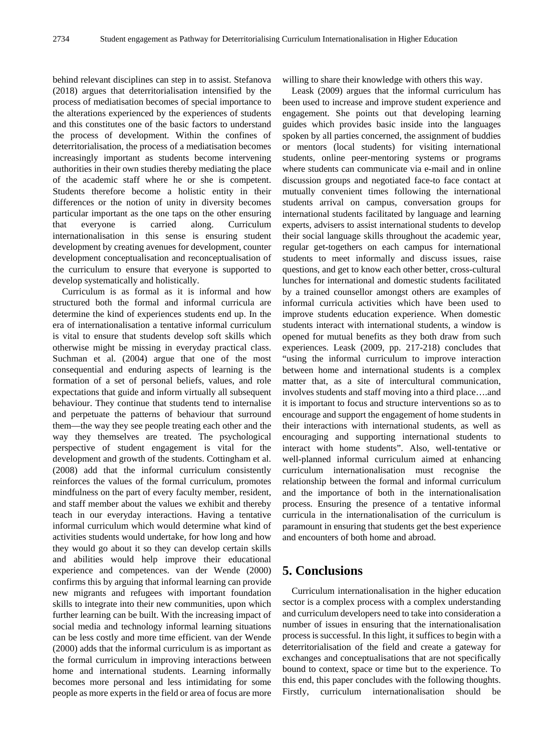behind relevant disciplines can step in to assist. Stefanova (2018) argues that deterritorialisation intensified by the process of mediatisation becomes of special importance to the alterations experienced by the experiences of students and this constitutes one of the basic factors to understand the process of development. Within the confines of deterritorialisation, the process of a mediatisation becomes increasingly important as students become intervening authorities in their own studies thereby mediating the place of the academic staff where he or she is competent. Students therefore become a holistic entity in their differences or the notion of unity in diversity becomes particular important as the one taps on the other ensuring that everyone is carried along. Curriculum internationalisation in this sense is ensuring student development by creating avenues for development, counter development conceptualisation and reconceptualisation of the curriculum to ensure that everyone is supported to develop systematically and holistically.

Curriculum is as formal as it is informal and how structured both the formal and informal curricula are determine the kind of experiences students end up. In the era of internationalisation a tentative informal curriculum is vital to ensure that students develop soft skills which otherwise might be missing in everyday practical class. Suchman et al. (2004) argue that one of the most consequential and enduring aspects of learning is the formation of a set of personal beliefs, values, and role expectations that guide and inform virtually all subsequent behaviour. They continue that students tend to internalise and perpetuate the patterns of behaviour that surround them—the way they see people treating each other and the way they themselves are treated. The psychological perspective of student engagement is vital for the development and growth of the students. Cottingham et al. (2008) add that the informal curriculum consistently reinforces the values of the formal curriculum, promotes mindfulness on the part of every faculty member, resident, and staff member about the values we exhibit and thereby teach in our everyday interactions. Having a tentative informal curriculum which would determine what kind of activities students would undertake, for how long and how they would go about it so they can develop certain skills and abilities would help improve their educational experience and competences. van der Wende (2000) confirms this by arguing that informal learning can provide new migrants and refugees with important foundation skills to integrate into their new communities, upon which further learning can be built. With the increasing impact of social media and technology informal learning situations can be less costly and more time efficient. van der Wende (2000) adds that the informal curriculum is as important as the formal curriculum in improving interactions between home and international students. Learning informally becomes more personal and less intimidating for some people as more experts in the field or area of focus are more

willing to share their knowledge with others this way.

Leask (2009) argues that the informal curriculum has been used to increase and improve student experience and engagement. She points out that developing learning guides which provides basic inside into the languages spoken by all parties concerned, the assignment of buddies or mentors (local students) for visiting international students, online peer-mentoring systems or programs where students can communicate via e-mail and in online discussion groups and negotiated face-to face contact at mutually convenient times following the international students arrival on campus, conversation groups for international students facilitated by language and learning experts, advisers to assist international students to develop their social language skills throughout the academic year, regular get-togethers on each campus for international students to meet informally and discuss issues, raise questions, and get to know each other better, cross-cultural lunches for international and domestic students facilitated by a trained counsellor amongst others are examples of informal curricula activities which have been used to improve students education experience. When domestic students interact with international students, a window is opened for mutual benefits as they both draw from such experiences. Leask (2009, pp. 217-218) concludes that "using the informal curriculum to improve interaction between home and international students is a complex matter that, as a site of intercultural communication, involves students and staff moving into a third place….and it is important to focus and structure interventions so as to encourage and support the engagement of home students in their interactions with international students, as well as encouraging and supporting international students to interact with home students". Also, well-tentative or well-planned informal curriculum aimed at enhancing curriculum internationalisation must recognise the relationship between the formal and informal curriculum and the importance of both in the internationalisation process. Ensuring the presence of a tentative informal curricula in the internationalisation of the curriculum is paramount in ensuring that students get the best experience and encounters of both home and abroad.

# **5. Conclusions**

Curriculum internationalisation in the higher education sector is a complex process with a complex understanding and curriculum developers need to take into consideration a number of issues in ensuring that the internationalisation process is successful. In this light, it suffices to begin with a deterritorialisation of the field and create a gateway for exchanges and conceptualisations that are not specifically bound to context, space or time but to the experience. To this end, this paper concludes with the following thoughts. Firstly, curriculum internationalisation should be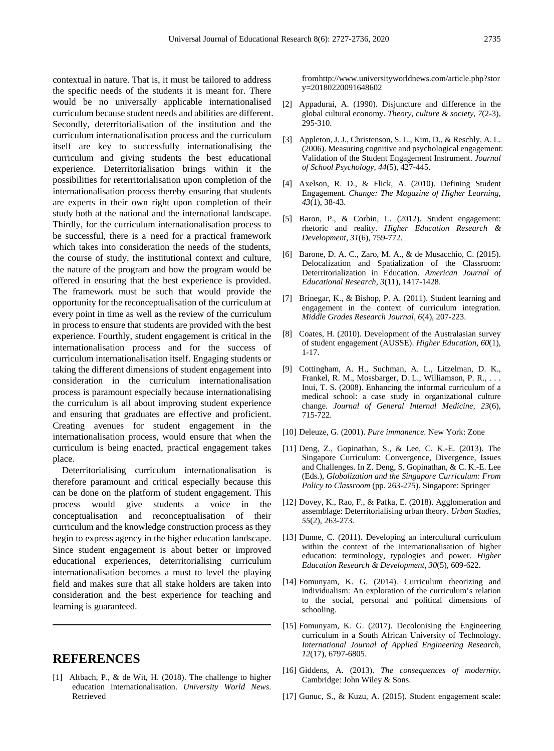contextual in nature. That is, it must be tailored to address the specific needs of the students it is meant for. There would be no universally applicable internationalised curriculum because student needs and abilities are different. Secondly, deterritorialisation of the institution and the curriculum internationalisation process and the curriculum itself are key to successfully internationalising the curriculum and giving students the best educational experience. Deterritorialisation brings within it the possibilities for reterritorialisation upon completion of the internationalisation process thereby ensuring that students are experts in their own right upon completion of their study both at the national and the international landscape. Thirdly, for the curriculum internationalisation process to be successful, there is a need for a practical framework which takes into consideration the needs of the students, the course of study, the institutional context and culture, the nature of the program and how the program would be offered in ensuring that the best experience is provided. The framework must be such that would provide the opportunity for the reconceptualisation of the curriculum at every point in time as well as the review of the curriculum in process to ensure that students are provided with the best experience. Fourthly, student engagement is critical in the internationalisation process and for the success of curriculum internationalisation itself. Engaging students or taking the different dimensions of student engagement into consideration in the curriculum internationalisation process is paramount especially because internationalising the curriculum is all about improving student experience and ensuring that graduates are effective and proficient. Creating avenues for student engagement in the internationalisation process, would ensure that when the curriculum is being enacted, practical engagement takes place.

Deterritorialising curriculum internationalisation is therefore paramount and critical especially because this can be done on the platform of student engagement. This process would give students a voice in the conceptualisation and reconceptualisation of their curriculum and the knowledge construction process as they begin to express agency in the higher education landscape. Since student engagement is about better or improved educational experiences, deterritorialising curriculum internationalisation becomes a must to level the playing field and makes sure that all stake holders are taken into consideration and the best experience for teaching and learning is guaranteed.

### **REFERENCES**

[1] Altbach, P., & de Wit, H. (2018). The challenge to higher education internationalisation. *University World News*. Retrieved

fromhttp://www.universityworldnews.com/article.php?stor y=20180220091648602

- [2] Appadurai, A. (1990). Disjuncture and difference in the global cultural economy. *Theory, culture & society, 7*(2-3), 295-310.
- [3] Appleton, J. J., Christenson, S. L., Kim, D., & Reschly, A. L. (2006). Measuring cognitive and psychological engagement: Validation of the Student Engagement Instrument. *Journal of School Psychology, 44*(5), 427-445.
- [4] Axelson, R. D., & Flick, A. (2010). Defining Student Engagement. *Change: The Magazine of Higher Learning, 43*(1), 38-43.
- [5] Baron, P., & Corbin, L. (2012). Student engagement: rhetoric and reality. *Higher Education Research & Development, 31*(6), 759-772.
- [6] Barone, D. A. C., Zaro, M. A., & de Musacchio, C. (2015). Delocalization and Spatialization of the Classroom: Deterritorialization in Education. *American Journal of Educational Research, 3*(11), 1417-1428.
- [7] Brinegar, K., & Bishop, P. A. (2011). Student learning and engagement in the context of curriculum integration. *Middle Grades Research Journal, 6*(4), 207-223.
- [8] Coates, H. (2010). Development of the Australasian survey of student engagement (AUSSE). *Higher Education, 60*(1), 1-17.
- [9] Cottingham, A. H., Suchman, A. L., Litzelman, D. K., Frankel, R. M., Mossbarger, D. L., Williamson, P. R., . . . Inui, T. S. (2008). Enhancing the informal curriculum of a medical school: a case study in organizational culture change. *Journal of General Internal Medicine, 23*(6), 715-722.
- [10] Deleuze, G. (2001). *Pure immanence*. New York: Zone
- [11] Deng, Z., Gopinathan, S., & Lee, C. K.-E. (2013). The Singapore Curriculum: Convergence, Divergence, Issues and Challenges. In Z. Deng, S. Gopinathan, & C. K.-E. Lee (Eds.), *Globalization and the Singapore Curriculum: From Policy to Classroom* (pp. 263-275). Singapore: Springer
- [12] Dovey, K., Rao, F., & Pafka, E. (2018). Agglomeration and assemblage: Deterritorialising urban theory. *Urban Studies, 55*(2), 263-273.
- [13] Dunne, C. (2011). Developing an intercultural curriculum within the context of the internationalisation of higher education: terminology, typologies and power. *Higher Education Research & Development, 30*(5), 609-622.
- [14] Fomunyam, K. G. (2014). Curriculum theorizing and individualism: An exploration of the curriculum's relation to the social, personal and political dimensions of schooling.
- [15] Fomunyam, K. G. (2017). Decolonising the Engineering curriculum in a South African University of Technology. *International Journal of Applied Engineering Research, 12*(17), 6797-6805.
- [16] Giddens, A. (2013). *The consequences of modernity*. Cambridge: John Wiley & Sons.
- [17] Gunuc, S., & Kuzu, A. (2015). Student engagement scale: